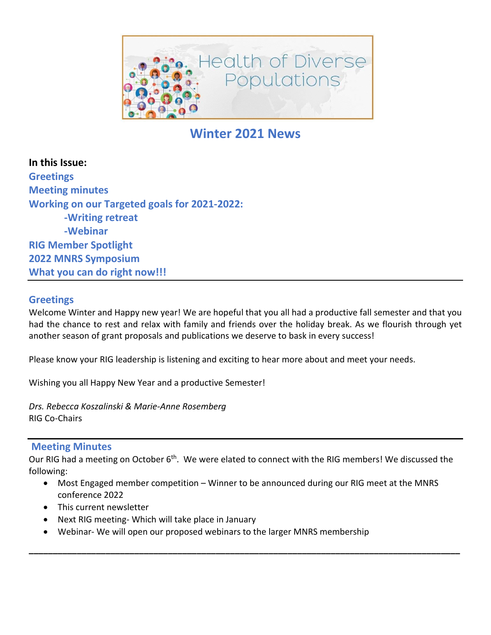

# **Winter 2021 News**

**In this Issue: Greetings Meeting minutes Working on our Targeted goals for 2021-2022: -Writing retreat -Webinar RIG Member Spotlight 2022 MNRS Symposium What you can do right now!!!**

### **Greetings**

Welcome Winter and Happy new year! We are hopeful that you all had a productive fall semester and that you had the chance to rest and relax with family and friends over the holiday break. As we flourish through yet another season of grant proposals and publications we deserve to bask in every success!

Please know your RIG leadership is listening and exciting to hear more about and meet your needs.

Wishing you all Happy New Year and a productive Semester!

*Drs. Rebecca Koszalinski & Marie-Anne Rosemberg* RIG Co-Chairs

#### **Meeting Minutes**

Our RIG had a meeting on October 6<sup>th</sup>. We were elated to connect with the RIG members! We discussed the following:

• Most Engaged member competition – Winner to be announced during our RIG meet at the MNRS conference 2022

**\_\_\_\_\_\_\_\_\_\_\_\_\_\_\_\_\_\_\_\_\_\_\_\_\_\_\_\_\_\_\_\_\_\_\_\_\_\_\_\_\_\_\_\_\_\_\_\_\_\_\_\_\_\_\_\_\_\_\_\_\_\_\_\_\_\_\_\_\_\_\_\_\_\_\_\_\_\_\_\_\_\_\_\_\_\_\_\_\_\_**

- This current newsletter
- Next RIG meeting- Which will take place in January
- Webinar- We will open our proposed webinars to the larger MNRS membership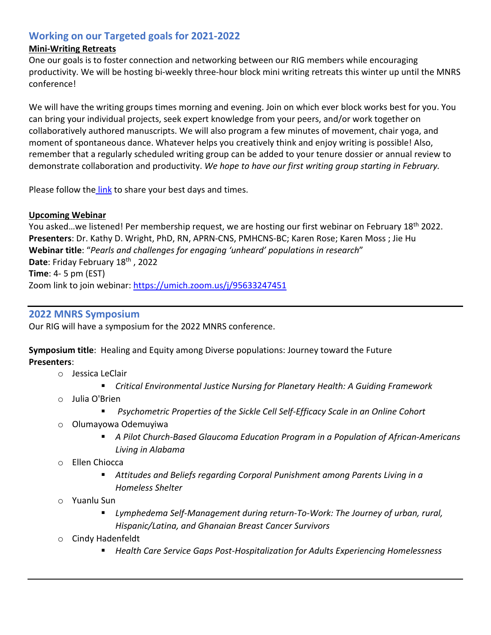# **Working on our Targeted goals for 2021-2022**

### **Mini-Writing Retreats**

One our goals is to foster connection and networking between our RIG members while encouraging productivity. We will be hosting bi-weekly three-hour block mini writing retreats this winter up until the MNRS conference!

We will have the writing groups times morning and evening. Join on which ever block works best for you. You can bring your individual projects, seek expert knowledge from your peers, and/or work together on collaboratively authored manuscripts. We will also program a few minutes of movement, chair yoga, and moment of spontaneous dance. Whatever helps you creatively think and enjoy writing is possible! Also, remember that a regularly scheduled writing group can be added to your tenure dossier or annual review to demonstrate collaboration and productivity. *We hope to have our first writing group starting in February.*

Please follow the [link](https://doodle.com/poll/w5ixet3fyivhmkrg?utm_source=poll&utm_medium=link) to share your best days and times.

#### **Upcoming Webinar**

You asked...we listened! Per membership request, we are hosting our first webinar on February 18<sup>th</sup> 2022. **Presenters**: Dr. Kathy D. Wright, PhD, RN, APRN-CNS, PMHCNS-BC; Karen Rose; Karen Moss ; Jie Hu **Webinar title**: "*Pearls and challenges for engaging 'unheard' populations in research*" Date: Friday February 18<sup>th</sup>, 2022 **Time**: 4- 5 pm (EST) Zoom link to join webinar: https://umich.zoom.us/i/95633247451

### **2022 MNRS Symposium**

Our RIG will have a symposium for the 2022 MNRS conference.

**Symposium title**: Healing and Equity among Diverse populations: Journey toward the Future **Presenters**:

- o Jessica LeClair
	- *Critical Environmental Justice Nursing for Planetary Health: A Guiding Framework*
- o Julia O'Brien
	- *Psychometric Properties of the Sickle Cell Self-Efficacy Scale in an Online Cohort*
- o Olumayowa Odemuyiwa
	- *A Pilot Church-Based Glaucoma Education Program in a Population of African-Americans Living in Alabama*
- o Ellen Chiocca
	- *Attitudes and Beliefs regarding Corporal Punishment among Parents Living in a Homeless Shelter*
- o Yuanlu Sun
	- *Lymphedema Self-Management during return-To-Work: The Journey of urban, rural, Hispanic/Latina, and Ghanaian Breast Cancer Survivors*
- o Cindy Hadenfeldt
	- *Health Care Service Gaps Post-Hospitalization for Adults Experiencing Homelessness*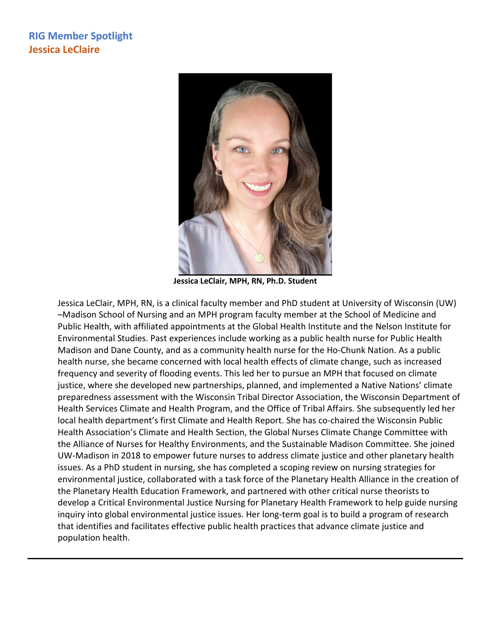# **RIG Member Spotlight Jessica LeClaire**



**Jessica LeClair, MPH, RN, Ph.D. Student**

Jessica LeClair, MPH, RN, is a clinical faculty member and PhD student at University of Wisconsin (UW) –Madison School of Nursing and an MPH program faculty member at the School of Medicine and Public Health, with affiliated appointments at the Global Health Institute and the Nelson Institute for Environmental Studies. Past experiences include working as a public health nurse for Public Health Madison and Dane County, and as a community health nurse for the Ho-Chunk Nation. As a public health nurse, she became concerned with local health effects of climate change, such as increased frequency and severity of flooding events. This led her to pursue an MPH that focused on climate justice, where she developed new partnerships, planned, and implemented a Native Nations' climate preparedness assessment with the Wisconsin Tribal Director Association, the Wisconsin Department of Health Services Climate and Health Program, and the Office of Tribal Affairs. She subsequently led her local health department's first Climate and Health Report. She has co-chaired the Wisconsin Public Health Association's Climate and Health Section, the Global Nurses Climate Change Committee with the Alliance of Nurses for Healthy Environments, and the Sustainable Madison Committee. She joined UW-Madison in 2018 to empower future nurses to address climate justice and other planetary health issues. As a PhD student in nursing, she has completed a scoping review on nursing strategies for environmental justice, collaborated with a task force of the Planetary Health Alliance in the creation of the Planetary Health Education Framework, and partnered with other critical nurse theorists to develop a Critical Environmental Justice Nursing for Planetary Health Framework to help guide nursing inquiry into global environmental justice issues. Her long-term goal is to build a program of research that identifies and facilitates effective public health practices that advance climate justice and population health.